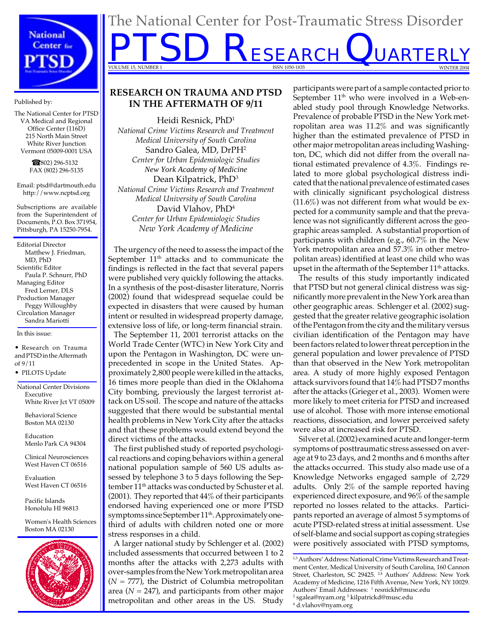

Published by:

The National Center for PTSD VA Medical and Regional Office Center (116D) 215 North Main Street White River Junction Vermont 05009-0001 USA

> ☎ (802) 296-5132 FAX (802) 296-5135

Email: ptsd@dartmouth.edu http://www.ncptsd.org

Subscriptions are available from the Superintendent of Documents, P.O. Box 371954, Pittsburgh, PA 15250-7954.

Editorial Director Matthew J. Friedman, MD, PhD Scientific Editor Paula P. Schnurr, PhD Managing Editor Fred Lerner, DLS Production Manager Peggy Willoughby Circulation Manager Sandra Mariotti

In this issue:

• Research on Trauma and PTSD in the Aftermath of 9/11

• PILOTS Update

National Center Divisions Executive White River Jct VT 05009

> Behavioral Science Boston MA 02130

Education Menlo Park CA 94304

Clinical Neurosciences West Haven CT 06516

Evaluation West Haven CT 06516

Pacific Islands Honolulu HI 96813

Women's Health Sciences Boston MA 02130



# **RESEARCH ON TRAUMA AND PTSD IN THE AFTERMATH OF 9/11**

The National Center for Post-Traumatic Stress Disorder

**PTSD RESEARCH QUARTERLY** 

VOLUME 15, NUMBER 1 ISSN 1050-1835 WINTER 2004

Heidi Resnick, PhD1 *National Crime Victims Research and Treatment Medical University of South Carolina* Sandro Galea, MD, DrPH2 *Center for Urban Epidemiologic Studies New York Academy of Medicine*  Dean Kilpatrick, PhD3 *National Crime Victims Research and Treatment Medical University of South Carolina* David Vlahov, PhD4 *Center for Urban Epidemiologic Studies New York Academy of Medicine* 

The urgency of the need to assess the impact of the September  $11<sup>th</sup>$  attacks and to communicate the findings is reflected in the fact that several papers were published very quickly following the attacks. In a synthesis of the post-disaster literature, Norris (2002) found that widespread sequelae could be expected in disasters that were caused by human intent or resulted in widespread property damage, extensive loss of life, or long-term financial strain.

The September 11, 2001 terrorist attacks on the World Trade Center (WTC) in New York City and upon the Pentagon in Washington, DC were unprecedented in scope in the United States. Approximately 2,800 people were killed in the attacks, 16 times more people than died in the Oklahoma City bombing, previously the largest terrorist attack on US soil. The scope and nature of the attacks suggested that there would be substantial mental health problems in New York City after the attacks and that these problems would extend beyond the direct victims of the attacks.

The first published study of reported psychological reactions and coping behaviors within a general national population sample of 560 US adults assessed by telephone 3 to 5 days following the September 11<sup>th</sup> attacks was conducted by Schuster et al. (2001). They reported that  $44\%$  of their participants endorsed having experienced one or more PTSD symptoms since September  $11<sup>th</sup>$ . Approximately onethird of adults with children noted one or more stress responses in a child.

A larger national study by Schlenger et al. (2002) included assessments that occurred between 1 to 2 months after the attacks with 2,273 adults with over-samples from the New York metropolitan area  $(N = 777)$ , the District of Columbia metropolitan area (*N* = 247), and participants from other major metropolitan and other areas in the US. Study

participants were part of a sample contacted prior to September  $11<sup>th</sup>$  who were involved in a Web-enabled study pool through Knowledge Networks. Prevalence of probable PTSD in the New York metropolitan area was 11.2% and was significantly higher than the estimated prevalence of PTSD in other major metropolitan areas including Washington, DC, which did not differ from the overall national estimated prevalence of 4.3%. Findings related to more global psychological distress indicated that the national prevalence of estimated cases with clinically significant psychological distress  $(11.6\%)$  was not different from what would be expected for a community sample and that the prevalence was not significantly different across the geographic areas sampled. A substantial proportion of participants with children (e.g., 60.7% in the New York metropolitan area and 57.3% in other metropolitan areas) identified at least one child who was upset in the aftermath of the September  $11<sup>th</sup>$  attacks.

The results of this study importantly indicated that PTSD but not general clinical distress was significantly more prevalent in the New York area than other geographic areas. Schlenger et al. (2002) suggested that the greater relative geographic isolation of the Pentagon from the city and the military versus civilian identification of the Pentagon may have been factors related to lower threat perception in the general population and lower prevalence of PTSD than that observed in the New York metropolitan area. A study of more highly exposed Pentagon attack survivors found that 14% had PTSD 7 months after the attacks (Grieger et al., 2003). Women were more likely to meet criteria for PTSD and increased use of alcohol. Those with more intense emotional reactions, dissociation, and lower perceived safety were also at increased risk for PTSD.

Silver et al. (2002) examined acute and longer-term symptoms of posttraumatic stress assessed on average at 9 to 23 days, and 2 months and 6 months after the attacks occurred. This study also made use of a Knowledge Networks engaged sample of 2,729 adults. Only 2% of the sample reported having experienced direct exposure, and 96% of the sample reported no losses related to the attacks. Participants reported an average of almost 5 symptoms of acute PTSD-related stress at initial assessment. Use of self-blame and social support as coping strategies were positively associated with PTSD symptoms,

1,3 Authors' Address: National Crime Victims Research and Treatment Center, Medical University of South Carolina, 160 Cannon Street, Charleston, SC 29425. <sup>24</sup> Authors' Address: New York Academy of Medicine, 1216 Fifth Avenue, New York, NY 10029. Authors' Email Addresses: 1 resnickh@musc.edu<br>2 sgalea@nyam.org 3 kilnatrickd@musc.edu <sup>2</sup> sgalea@nyam.org <sup>3</sup> kilpatrickd@musc.edu<br><sup>4</sup> d vlabov@nyam.org d.vlahov@nyam.org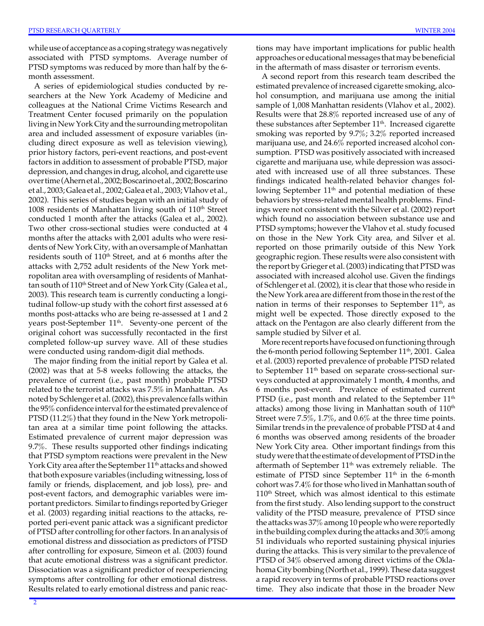while use of acceptance as a coping strategy was negatively associated with PTSD symptoms. Average number of PTSD symptoms was reduced by more than half by the 6 month assessment.

A series of epidemiological studies conducted by researchers at the New York Academy of Medicine and colleagues at the National Crime Victims Research and Treatment Center focused primarily on the population living in New York City and the surrounding metropolitan area and included assessment of exposure variables (including direct exposure as well as television viewing), prior history factors, peri-event reactions, and post-event factors in addition to assessment of probable PTSD, major depression, and changes in drug, alcohol, and cigarette use over time (Ahern et al., 2002; Boscarino et al., 2002; Boscarino et al., 2003; Galea et al., 2002; Galea et al., 2003; Vlahov et al., 2002). This series of studies began with an initial study of 1008 residents of Manhattan living south of  $110<sup>th</sup>$  Street conducted 1 month after the attacks (Galea et al., 2002). Two other cross-sectional studies were conducted at 4 months after the attacks with 2,001 adults who were residents of New York City, with an oversample of Manhattan residents south of 110<sup>th</sup> Street, and at 6 months after the attacks with 2,752 adult residents of the New York metropolitan area with oversampling of residents of Manhattan south of 110<sup>th</sup> Street and of New York City (Galea et al., 2003). This research team is currently conducting a longitudinal follow-up study with the cohort first assessed at 6 months post-attacks who are being re-assessed at 1 and 2 years post-September  $11<sup>th</sup>$ . Seventy-one percent of the original cohort was successfully recontacted in the first completed follow-up survey wave. All of these studies were conducted using random-digit dial methods.

The major finding from the initial report by Galea et al. (2002) was that at 5-8 weeks following the attacks, the prevalence of current (i.e., past month) probable PTSD related to the terrorist attacks was 7.5% in Manhattan. As noted by Schlenger et al. (2002), this prevalence falls within the 95% confidence interval for the estimated prevalence of PTSD (11.2%) that they found in the New York metropolitan area at a similar time point following the attacks. Estimated prevalence of current major depression was 9.7%. These results supported other findings indicating that PTSD symptom reactions were prevalent in the New York City area after the September 11<sup>th</sup> attacks and showed that both exposure variables (including witnessing, loss of family or friends, displacement, and job loss), pre- and post-event factors, and demographic variables were important predictors. Similar to findings reported by Grieger et al. (2003) regarding initial reactions to the attacks, reported peri-event panic attack was a significant predictor of PTSD after controlling for other factors. In an analysis of emotional distress and dissociation as predictors of PTSD after controlling for exposure, Simeon et al. (2003) found that acute emotional distress was a significant predictor. Dissociation was a significant predictor of reexperiencing symptoms after controlling for other emotional distress. Results related to early emotional distress and panic reactions may have important implications for public health approaches or educational messages that may be beneficial in the aftermath of mass disaster or terrorism events.

A second report from this research team described the estimated prevalence of increased cigarette smoking, alcohol consumption, and marijuana use among the initial sample of 1,008 Manhattan residents (Vlahov et al., 2002). Results were that 28.8% reported increased use of any of these substances after September  $11<sup>th</sup>$ . Increased cigarette smoking was reported by 9.7%; 3.2% reported increased marijuana use, and 24.6% reported increased alcohol consumption. PTSD was positively associated with increased cigarette and marijuana use, while depression was associated with increased use of all three substances. These findings indicated health-related behavior changes following September 11<sup>th</sup> and potential mediation of these behaviors by stress-related mental health problems. Findings were not consistent with the Silver et al. (2002) report which found no association between substance use and PTSD symptoms; however the Vlahov et al. study focused on those in the New York City area, and Silver et al. reported on those primarily outside of this New York geographic region. These results were also consistent with the report by Grieger et al. (2003) indicating that PTSD was associated with increased alcohol use. Given the findings of Schlenger et al. (2002), it is clear that those who reside in the New York area are different from those in the rest of the nation in terms of their responses to September  $11<sup>th</sup>$ , as might well be expected. Those directly exposed to the attack on the Pentagon are also clearly different from the sample studied by Silver et al.

More recent reports have focused on functioning through the 6-month period following September  $11<sup>th</sup>$ , 2001. Galea et al. (2003) reported prevalence of probable PTSD related to September 11<sup>th</sup> based on separate cross-sectional surveys conducted at approximately 1 month, 4 months, and 6 months post-event. Prevalence of estimated current PTSD (i.e., past month and related to the September  $11<sup>th</sup>$ attacks) among those living in Manhattan south of  $110<sup>th</sup>$ Street were 7.5%, 1.7%, and 0.6% at the three time points. Similar trends in the prevalence of probable PTSD at 4 and 6 months was observed among residents of the broader New York City area. Other important findings from this study were that the estimate of development of PTSD in the aftermath of September  $11<sup>th</sup>$  was extremely reliable. The estimate of PTSD since September  $11<sup>th</sup>$  in the 6-month cohort was 7.4% for those who lived in Manhattan south of  $110<sup>th</sup>$  Street, which was almost identical to this estimate from the first study. Also lending support to the construct validity of the PTSD measure, prevalence of PTSD since the attacks was 37% among 10 people who were reportedly in the building complex during the attacks and 30% among 51 individuals who reported sustaining physical injuries during the attacks. This is very similar to the prevalence of PTSD of 34% observed among direct victims of the Oklahoma City bombing (North et al., 1999). These data suggest a rapid recovery in terms of probable PTSD reactions over time. They also indicate that those in the broader New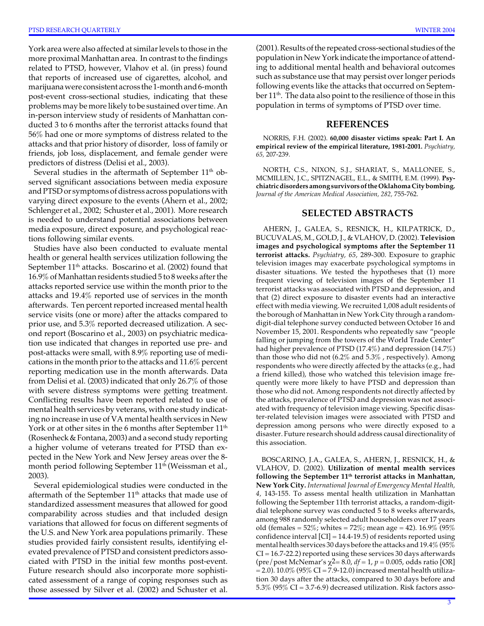York area were also affected at similar levels to those in the more proximal Manhattan area. In contrast to the findings related to PTSD, however, Vlahov et al. (in press) found that reports of increased use of cigarettes, alcohol, and marijuana were consistent across the 1-month and 6-month post-event cross-sectional studies, indicating that these problems may be more likely to be sustained over time. An in-person interview study of residents of Manhattan conducted 3 to 6 months after the terrorist attacks found that 56% had one or more symptoms of distress related to the attacks and that prior history of disorder, loss of family or friends, job loss, displacement, and female gender were predictors of distress (Delisi et al., 2003).

Several studies in the aftermath of September 11<sup>th</sup> observed significant associations between media exposure and PTSD or symptoms of distress across populations with varying direct exposure to the events (Ahern et al., 2002; Schlenger et al., 2002; Schuster et al., 2001). More research is needed to understand potential associations between media exposure, direct exposure, and psychological reactions following similar events.

Studies have also been conducted to evaluate mental health or general health services utilization following the September  $11<sup>th</sup>$  attacks. Boscarino et al. (2002) found that 16.9% of Manhattan residents studied 5 to 8 weeks after the attacks reported service use within the month prior to the attacks and 19.4% reported use of services in the month afterwards. Ten percent reported increased mental health service visits (one or more) after the attacks compared to prior use, and 5.3% reported decreased utilization. A second report (Boscarino et al., 2003) on psychiatric medication use indicated that changes in reported use pre- and post-attacks were small, with 8.9% reporting use of medications in the month prior to the attacks and 11.6% percent reporting medication use in the month afterwards. Data from Delisi et al. (2003) indicated that only 26.7% of those with severe distress symptoms were getting treatment. Conflicting results have been reported related to use of mental health services by veterans, with one study indicating no increase in use of VA mental health services in New York or at other sites in the 6 months after September 11<sup>th</sup> (Rosenheck & Fontana, 2003) and a second study reporting a higher volume of veterans treated for PTSD than expected in the New York and New Jersey areas over the 8 month period following September 11<sup>th</sup> (Weissman et al., 2003).

Several epidemiological studies were conducted in the aftermath of the September 11<sup>th</sup> attacks that made use of standardized assessment measures that allowed for good comparability across studies and that included design variations that allowed for focus on different segments of the U.S. and New York area populations primarily. These studies provided fairly consistent results, identifying elevated prevalence of PTSD and consistent predictors associated with PTSD in the initial few months post-event. Future research should also incorporate more sophisticated assessment of a range of coping responses such as those assessed by Silver et al. (2002) and Schuster et al. (2001). Results of the repeated cross-sectional studies of the population in New York indicate the importance of attending to additional mental health and behavioral outcomes such as substance use that may persist over longer periods following events like the attacks that occurred on September 11<sup>th</sup>. The data also point to the resilience of those in this population in terms of symptoms of PTSD over time.

#### **REFERENCES**

NORRIS, F.H. (2002). **60,000 disaster victims speak: Part I. An empirical review of the empirical literature, 1981-2001.** *Psychiatry, 65,* 207-239.

NORTH, C.S., NIXON, S.J., SHARIAT, S., MALLONEE, S., MCMILLEN, J.C., SPITZNAGEL, E.L., & SMITH, E.M. (1999). **Psychiatric disorders among survivors of the Oklahoma City bombing.**  *Journal of the American Medical Association, 282,* 755-762.

### **SELECTED ABSTRACTS**

AHERN, J., GALEA, S., RESNICK, H., KILPATRICK, D., BUCUVALAS, M., GOLD, J., & VLAHOV, D. (2002). **Television images and psychological symptoms after the September 11 terrorist attacks.** *Psychiatry, 65,* 289-300. Exposure to graphic television images may exacerbate psychological symptoms in disaster situations. We tested the hypotheses that (1) more frequent viewing of television images of the September 11 terrorist attacks was associated with PTSD and depression, and that (2) direct exposure to disaster events had an interactive effect with media viewing. We recruited 1,008 adult residents of the borough of Manhattan in New York City through a randomdigit-dial telephone survey conducted between October 16 and November 15, 2001. Respondents who repeatedly saw "people falling or jumping from the towers of the World Trade Center" had higher prevalence of PTSD (17.4%) and depression (14.7%) than those who did not (6.2% and 5.3% , respectively). Among respondents who were directly affected by the attacks (e.g., had a friend killed), those who watched this television image frequently were more likely to have PTSD and depression than those who did not. Among respondents not directly affected by the attacks, prevalence of PTSD and depression was not associated with frequency of television image viewing. Specific disaster-related television images were associated with PTSD and depression among persons who were directly exposed to a disaster. Future research should address causal directionality of this association.

 (pre/post McNemar's χ2= 8.0, *df* = 1, *p* = 0.005, odds ratio [OR] BOSCARINO, J.A., GALEA, S., AHERN, J., RESNICK, H., & VLAHOV, D. (2002). **Utilization of mental mealth services**  following the September 11<sup>th</sup> terrorist attacks in Manhattan, **New York City.** *International Journal of Emergency Mental Health, 4,* 143-155. To assess mental health utilization in Manhattan following the September 11th terrorist attacks, a random-digitdial telephone survey was conducted 5 to 8 weeks afterwards, among 988 randomly selected adult householders over 17 years old (females =  $52\%$ ; whites =  $72\%$ ; mean age = 42).  $16.9\%$  (95%) confidence interval [CI] = 14.4-19.5) of residents reported using mental health services 30 days before the attacks and 19.4% (95%  $CI = 16.7 - 22.2$ ) reported using these services 30 days afterwards  $= 2.0$ ). 10.0% (95% CI  $= 7.9$ -12.0) increased mental health utilization 30 days after the attacks, compared to 30 days before and 5.3% (95% CI = 3.7-6.9) decreased utilization. Risk factors asso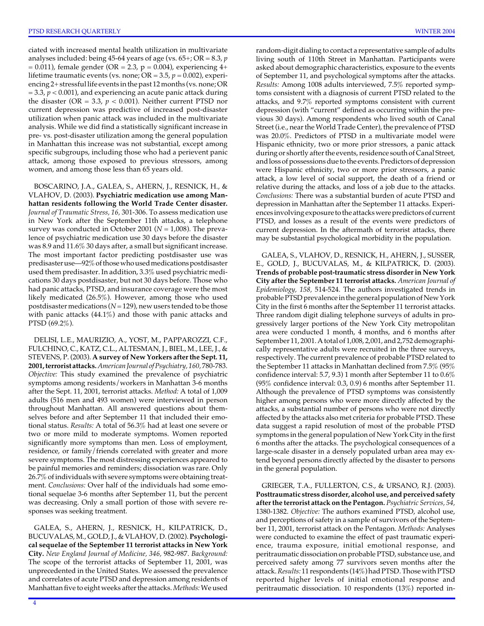ciated with increased mental health utilization in multivariate analyses included: being 45-64 years of age (vs. 65+; OR = 8.3, *p*   $= 0.011$ ), female gender (OR  $= 2.3$ , p  $= 0.004$ ), experiencing 4+ lifetime traumatic events (vs. none;  $OR = 3.5$ ,  $p = 0.002$ ), experiencing 2+ stressful life events in the past 12 months (vs. none; OR  $= 3.3$ ,  $p < 0.001$ ), and experiencing an acute panic attack during the disaster (OR = 3.3,  $p < 0.001$ ). Neither current PTSD nor current depression was predictive of increased post-disaster utilization when panic attack was included in the multivariate analysis. While we did find a statistically significant increase in pre- vs. post-disaster utilization among the general population in Manhattan this increase was not substantial, except among specific subgroups, including those who had a perievent panic attack, among those exposed to previous stressors, among women, and among those less than 65 years old.

BOSCARINO, J.A., GALEA, S., AHERN, J., RESNICK, H., & VLAHOV, D. (2003). **Psychiatric medication use among Manhattan residents following the World Trade Center disaster.**  *Journal of Traumatic Stress, 16,* 301-306. To assess medication use in New York after the September 11th attacks, a telephone survey was conducted in October 2001 (*N* = 1,008). The prevalence of psychiatric medication use 30 days before the disaster was 8.9 and 11.6% 30 days after, a small but significant increase. The most important factor predicting postdisaster use was predisaster use—92% of those who used medications postdisaster used them predisaster. In addition, 3.3% used psychiatric medications 30 days postdisaster, but not 30 days before. Those who had panic attacks, PTSD, and insurance coverage were the most likely medicated (26.5%). However, among those who used postdisaster medications (*N* = 129), new users tended to be those with panic attacks (44.1%) and those with panic attacks and PTSD (69.2%).

DELISI, L.E., MAURIZIO, A., YOST, M., PAPPAROZZI, C.F., FULCHINO, C., KATZ, C.L., ALTESMAN, J., BIEL, M., LEE, J., & STEVENS, P. (2003). **A survey of New Yorkers after the Sept. 11, 2001, terrorist attacks.** *American Journal of Psychiatry, 160,* 780-783. *Objective:* This study examined the prevalence of psychiatric symptoms among residents/workers in Manhattan 3-6 months after the Sept. 11, 2001, terrorist attacks. *Method:* A total of 1,009 adults (516 men and 493 women) were interviewed in person throughout Manhattan. All answered questions about themselves before and after September 11 that included their emotional status. *Results:* A total of 56.3% had at least one severe or two or more mild to moderate symptoms. Women reported significantly more symptoms than men. Loss of employment, residence, or family/friends correlated with greater and more severe symptoms. The most distressing experiences appeared to be painful memories and reminders; dissociation was rare. Only 26.7% of individuals with severe symptoms were obtaining treatment. *Conclusions:* Over half of the individuals had some emotional sequelae 3-6 months after September 11, but the percent was decreasing. Only a small portion of those with severe responses was seeking treatment.

GALEA, S., AHERN, J., RESNICK, H., KILPATRICK, D., BUCUVALAS, M., GOLD, J., & VLAHOV, D. (2002). **Psychological sequelae of the September 11 terrorist attacks in New York City.** *New England Journal of Medicine, 346,* 982-987. *Background:*  The scope of the terrorist attacks of September 11, 2001, was unprecedented in the United States. We assessed the prevalence and correlates of acute PTSD and depression among residents of Manhattan five to eight weeks after the attacks. *Methods:* We used

random-digit dialing to contact a representative sample of adults living south of 110th Street in Manhattan. Participants were asked about demographic characteristics, exposure to the events of September 11, and psychological symptoms after the attacks. *Results:* Among 1008 adults interviewed, 7.5% reported symptoms consistent with a diagnosis of current PTSD related to the attacks, and 9.7% reported symptoms consistent with current depression (with "current" defined as occurring within the previous 30 days). Among respondents who lived south of Canal Street (i.e., near the World Trade Center), the prevalence of PTSD was 20.0%. Predictors of PTSD in a multivariate model were Hispanic ethnicity, two or more prior stressors, a panic attack during or shortly after the events, residence south of Canal Street, and loss of possessions due to the events. Predictors of depression were Hispanic ethnicity, two or more prior stressors, a panic attack, a low level of social support, the death of a friend or relative during the attacks, and loss of a job due to the attacks. *Conclusions:* There was a substantial burden of acute PTSD and depression in Manhattan after the September 11 attacks. Experiences involving exposure to the attacks were predictors of current PTSD, and losses as a result of the events were predictors of current depression. In the aftermath of terrorist attacks, there may be substantial psychological morbidity in the population.

GALEA, S., VLAHOV, D., RESNICK, H., AHERN, J., SUSSER, E., GOLD, J., BUCUVALAS, M., & KILPATRICK, D. (2003). **Trends of probable post-traumatic stress disorder in New York City after the September 11 terrorist attacks.** *American Journal of Epidemiology, 158,* 514-524. The authors investigated trends in probable PTSD prevalence in the general population of New York City in the first 6 months after the September 11 terrorist attacks. Three random digit dialing telephone surveys of adults in progressively larger portions of the New York City metropolitan area were conducted 1 month, 4 months, and 6 months after September 11, 2001. A total of 1,008, 2,001, and 2,752 demographically representative adults were recruited in the three surveys, respectively. The current prevalence of probable PTSD related to the September 11 attacks in Manhattan declined from 7.5% (95% confidence interval: 5.7, 9.3) 1 month after September 11 to 0.6% (95% confidence interval: 0.3, 0.9) 6 months after September 11. Although the prevalence of PTSD symptoms was consistently higher among persons who were more directly affected by the attacks, a substantial number of persons who were not directly affected by the attacks also met criteria for probable PTSD. These data suggest a rapid resolution of most of the probable PTSD symptoms in the general population of New York City in the first 6 months after the attacks. The psychological consequences of a large-scale disaster in a densely populated urban area may extend beyond persons directly affected by the disaster to persons in the general population.

GRIEGER, T.A., FULLERTON, C.S., & URSANO, R.J. (2003). **Posttraumatic stress disorder, alcohol use, and perceived safety after the terrorist attack on the Pentagon.** *Psychiatric Services, 54,*  1380-1382. *Objective:* The authors examined PTSD, alcohol use, and perceptions of safety in a sample of survivors of the September 11, 2001, terrorist attack on the Pentagon. *Methods:* Analyses were conducted to examine the effect of past traumatic experience, trauma exposure, initial emotional response, and peritraumatic dissociation on probable PTSD, substance use, and perceived safety among 77 survivors seven months after the attack. *Results:* 11 respondents (14%) had PTSD. Those with PTSD reported higher levels of initial emotional response and peritraumatic dissociation. 10 respondents (13%) reported in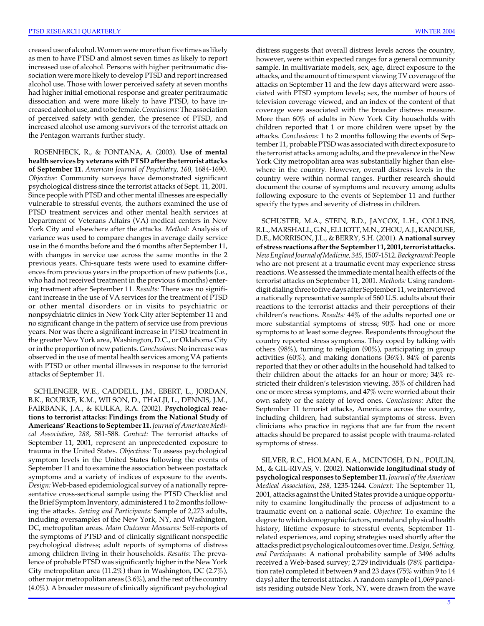creased use of alcohol. Women were more than five times as likely as men to have PTSD and almost seven times as likely to report increased use of alcohol. Persons with higher peritraumatic dissociation were more likely to develop PTSD and report increased alcohol use. Those with lower perceived safety at seven months had higher initial emotional response and greater peritraumatic dissociation and were more likely to have PTSD, to have increased alcohol use, and to be female. *Conclusions:* The association of perceived safety with gender, the presence of PTSD, and increased alcohol use among survivors of the terrorist attack on the Pentagon warrants further study.

ROSENHECK, R., & FONTANA, A. (2003). **Use of mental health services by veterans with PTSD after the terrorist attacks of September 11.** *American Journal of Psychiatry, 160,* 1684-1690. *Objective:* Community surveys have demonstrated significant psychological distress since the terrorist attacks of Sept. 11, 2001. Since people with PTSD and other mental illnesses are especially vulnerable to stressful events, the authors examined the use of PTSD treatment services and other mental health services at Department of Veterans Affairs (VA) medical centers in New York City and elsewhere after the attacks. *Method:* Analysis of variance was used to compare changes in average daily service use in the 6 months before and the 6 months after September 11, with changes in service use across the same months in the 2 previous years. Chi-square tests were used to examine differences from previous years in the proportion of new patients (i.e., who had not received treatment in the previous 6 months) entering treatment after September 11. *Results:* There was no significant increase in the use of VA services for the treatment of PTSD or other mental disorders or in visits to psychiatric or nonpsychiatric clinics in New York City after September 11 and no significant change in the pattern of service use from previous years. Nor was there a significant increase in PTSD treatment in the greater New York area, Washington, D.C., or Oklahoma City or in the proportion of new patients. *Conclusions:* No increase was observed in the use of mental health services among VA patients with PTSD or other mental illnesses in response to the terrorist attacks of September 11.

SCHLENGER, W.E., CADDELL, J.M., EBERT, L., JORDAN, B.K., ROURKE, K.M., WILSON, D., THALJI, L., DENNIS, J.M., FAIRBANK, J.A., & KULKA, R.A. (2002). **Psychological reactions to terrorist attacks: Findings from the National Study of Americans' Reactions to September 11.** *Journal of American Medical Association, 288,* 581-588. *Context:* The terrorist attacks of September 11, 2001, represent an unprecedented exposure to trauma in the United States. *Objectives:* To assess psychological symptom levels in the United States following the events of September 11 and to examine the association between postattack symptoms and a variety of indices of exposure to the events. *Design:* Web-based epidemiological survey of a nationally representative cross-sectional sample using the PTSD Checklist and the Brief Symptom Inventory, administered 1 to 2 months following the attacks. *Setting and Participants:* Sample of 2,273 adults, including oversamples of the New York, NY, and Washington, DC, metropolitan areas. *Main Outcome Measures:* Self-reports of the symptoms of PTSD and of clinically significant nonspecific psychological distress; adult reports of symptoms of distress among children living in their households. *Results:* The prevalence of probable PTSD was significantly higher in the New York City metropolitan area (11.2%) than in Washington, DC (2.7%), other major metropolitan areas (3.6%), and the rest of the country (4.0%). A broader measure of clinically significant psychological distress suggests that overall distress levels across the country, however, were within expected ranges for a general community sample. In multivariate models, sex, age, direct exposure to the attacks, and the amount of time spent viewing TV coverage of the attacks on September 11 and the few days afterward were associated with PTSD symptom levels; sex, the number of hours of television coverage viewed, and an index of the content of that coverage were associated with the broader distress measure. More than 60% of adults in New York City households with children reported that 1 or more children were upset by the attacks. *Conclusions:* 1 to 2 months following the events of September 11, probable PTSD was associated with direct exposure to the terrorist attacks among adults, and the prevalence in the New York City metropolitan area was substantially higher than elsewhere in the country. However, overall distress levels in the country were within normal ranges. Further research should document the course of symptoms and recovery among adults following exposure to the events of September 11 and further specify the types and severity of distress in children.

SCHUSTER, M.A., STEIN, B.D., JAYCOX, L.H., COLLINS, R.L., MARSHALL, G.N., ELLIOTT, M.N., ZHOU, A.J., KANOUSE, D.E., MORRISON, J.L., & BERRY, S.H. (2001). **A national survey of stress reactions after the September 11, 2001, terrorist attacks.**  *New England Journal of Medicine, 345,* 1507-1512. *Background:*People who are not present at a traumatic event may experience stress reactions. We assessed the immediate mental health effects of the terrorist attacks on September 11, 2001. *Methods:* Using randomdigit dialing three to five days after September 11, we interviewed a nationally representative sample of 560 U.S. adults about their reactions to the terrorist attacks and their perceptions of their children's reactions. *Results:* 44% of the adults reported one or more substantial symptoms of stress; 90% had one or more symptoms to at least some degree. Respondents throughout the country reported stress symptoms. They coped by talking with others (98%), turning to religion (90%), participating in group activities (60%), and making donations (36%). 84% of parents reported that they or other adults in the household had talked to their children about the attacks for an hour or more; 34% restricted their children's television viewing. 35% of children had one or more stress symptoms, and 47% were worried about their own safety or the safety of loved ones. *Conclusions:* After the September 11 terrorist attacks, Americans across the country, including children, had substantial symptoms of stress. Even clinicians who practice in regions that are far from the recent attacks should be prepared to assist people with trauma-related symptoms of stress.

SILVER, R.C., HOLMAN, E.A., MCINTOSH, D.N., POULIN, M., & GIL-RIVAS, V. (2002). **Nationwide longitudinal study of psychological responses to September 11.** *Journal of the American Medical Association, 288,* 1235-1244. *Context:* The September 11, 2001, attacks against the United States provide a unique opportunity to examine longitudinally the process of adjustment to a traumatic event on a national scale. *Objective:* To examine the degree to which demographic factors, mental and physical health history, lifetime exposure to stressful events, September 11 related experiences, and coping strategies used shortly after the attacks predict psychological outcomes over time. *Design, Setting, and Participants:* A national probability sample of 3496 adults received a Web-based survey; 2,729 individuals (78% participation rate) completed it between 9 and 23 days (75% within 9 to 14 days) after the terrorist attacks. A random sample of 1,069 panelists residing outside New York, NY, were drawn from the wave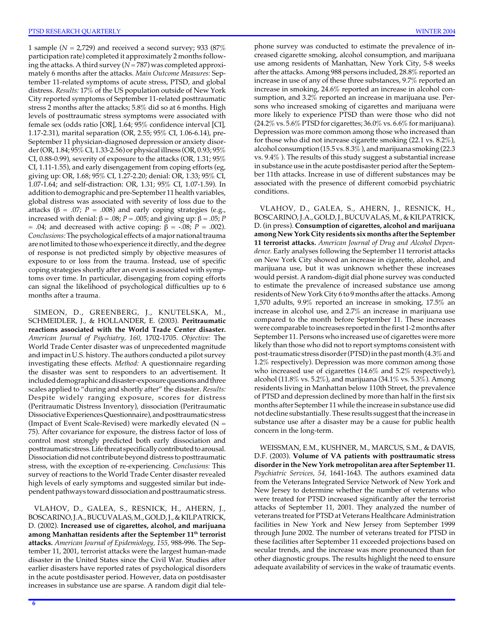attacks (β = .07; *P* = .008) and early coping strategies (e.g., increased with denial: β = .08; *P* = .005; and giving up: β = .05; *P*  1 sample (*N* = 2,729) and received a second survey; 933 (87% participation rate) completed it approximately 2 months following the attacks. A third survey (*N* = 787) was completed approximately 6 months after the attacks. *Main Outcome Measures:* September 11-related symptoms of acute stress, PTSD, and global distress. *Results:* 17% of the US population outside of New York City reported symptoms of September 11-related posttraumatic stress 2 months after the attacks; 5.8% did so at 6 months. High levels of posttraumatic stress symptoms were associated with female sex (odds ratio [OR], 1.64; 95% confidence interval [CI], 1.17-2.31), marital separation (OR, 2.55; 95% CI, 1.06-6.14), pre-September 11 physician-diagnosed depression or anxiety disorder (OR, 1.84; 95% CI, 1.33-2.56) or physical illness (OR, 0.93; 95% CI, 0.88-0.99), severity of exposure to the attacks (OR, 1.31; 95% CI, 1.11-1.55), and early disengagement from coping efforts (eg, giving up: OR, 1.68; 95% CI, 1.27-2.20; denial: OR, 1.33; 95% CI, 1.07-1.64; and self-distraction: OR, 1.31; 95% CI, 1.07-1.59). In addition to demographic and pre-September 11 health variables, global distress was associated with severity of loss due to the = .04; and decreased with active coping:  $β = -.08$ ;  $P = .002$ ). *Conclusions:* The psychological effects of a major national trauma are not limited to those who experience it directly, and the degree of response is not predicted simply by objective measures of exposure to or loss from the trauma. Instead, use of specific coping strategies shortly after an event is associated with symptoms over time. In particular, disengaging from coping efforts can signal the likelihood of psychological difficulties up to 6 months after a trauma.

SIMEON, D., GREENBERG, J., KNUTELSKA, M., SCHMEIDLER, J., & HOLLANDER, E. (2003). **Peritraumatic reactions associated with the World Trade Center disaster.**  *American Journal of Psychiatry, 160,* 1702-1705. *Objective:* The World Trade Center disaster was of unprecedented magnitude and impact in U.S. history. The authors conducted a pilot survey investigating these effects. *Method:* A questionnaire regarding the disaster was sent to responders to an advertisement. It included demographic and disaster-exposure questions and three scales applied to "during and shortly after" the disaster. *Results:*  Despite widely ranging exposure, scores for distress (Peritraumatic Distress Inventory), dissociation (Peritraumatic Dissociative Experiences Questionnaire), and posttraumatic stress (Impact of Event Scale-Revised) were markedly elevated ( $N =$ 75). After covariance for exposure, the distress factor of loss of control most strongly predicted both early dissociation and posttraumatic stress. Life threat specifically contributed to arousal. Dissociation did not contribute beyond distress to posttraumatic stress, with the exception of re-experiencing. *Conclusions:* This survey of reactions to the World Trade Center disaster revealed high levels of early symptoms and suggested similar but independent pathways toward dissociation and posttraumatic stress.

VLAHOV, D., GALEA, S., RESNICK, H., AHERN, J., BOSCARINO, J.A., BUCUVALAS, M., GOLD, J., & KILPATRICK, D. (2002). **Increased use of cigarettes, alcohol, and marijuana**  among Manhattan residents after the September 11<sup>th</sup> terrorist **attacks.** *American Journal of Epidemiology, 155,* 988-996. The September 11, 2001, terrorist attacks were the largest human-made disaster in the United States since the Civil War. Studies after earlier disasters have reported rates of psychological disorders in the acute postdisaster period. However, data on postdisaster increases in substance use are sparse. A random digit dial telephone survey was conducted to estimate the prevalence of increased cigarette smoking, alcohol consumption, and marijuana use among residents of Manhattan, New York City, 5-8 weeks after the attacks. Among 988 persons included, 28.8% reported an increase in use of any of these three substances, 9.7% reported an increase in smoking, 24.6% reported an increase in alcohol consumption, and 3.2% reported an increase in marijuana use. Persons who increased smoking of cigarettes and marijuana were more likely to experience PTSD than were those who did not  $(24.2\% \text{ vs. } 5.6\% \text{ PTSD}$  for cigarettes;  $36.0\% \text{ vs. } 6.6\%$  for marijuana). Depression was more common among those who increased than for those who did not increase cigarette smoking (22.1 vs. 8.2%), alcohol consumption (15.5 vs. 8.3% ), and marijuana smoking (22.3 vs. 9.4% ). The results of this study suggest a substantial increase in substance use in the acute postdisaster period after the September 11th attacks. Increase in use of different substances may be associated with the presence of different comorbid psychiatric conditions.

VLAHOV, D., GALEA, S., AHERN, J., RESNICK, H., BOSCARINO, J.A., GOLD, J., BUCUVALAS, M., & KILPATRICK, D. (in press). **Consumption of cigarettes, alcohol and marijuana among New York City residents six months after the September 11 terrorist attacks.** *American Journal of Drug and Alcohol Dependence.* Early analyses following the September 11 terrorist attacks on New York City showed an increase in cigarette, alcohol, and marijuana use, but it was unknown whether these increases would persist. A random-digit dial phone survey was conducted to estimate the prevalence of increased substance use among residents of New York City 6 to 9 months after the attacks. Among 1,570 adults, 9.9% reported an increase in smoking, 17.5% an increase in alcohol use, and 2.7% an increase in marijuana use compared to the month before September 11. These increases were comparable to increases reported in the first 1-2 months after September 11. Persons who increased use of cigarettes were more likely than those who did not to report symptoms consistent with post-traumatic stress disorder (PTSD) in the past month (4.3% and 1.2% respectively). Depression was more common among those who increased use of cigarettes (14.6% and 5.2% respectively), alcohol (11.8% vs. 5.2%), and marijuana (34.1% vs. 5.3%). Among residents living in Manhattan below 110th Street, the prevalence of PTSD and depression declined by more than half in the first six months after September 11 while the increase in substance use did not decline substantially. These results suggest that the increase in substance use after a disaster may be a cause for public health concern in the long-term.

WEISSMAN, E.M., KUSHNER, M., MARCUS, S.M., & DAVIS, D.F. (2003). **Volume of VA patients with posttraumatic stress disorder in the New York metropolitan area after September 11.**  *Psychiatric Services, 54,* 1641-1643. The authors examined data from the Veterans Integrated Service Network of New York and New Jersey to determine whether the number of veterans who were treated for PTSD increased significantly after the terrorist attacks of September 11, 2001. They analyzed the number of veterans treated for PTSD at Veterans Healthcare Administration facilities in New York and New Jersey from September 1999 through June 2002. The number of veterans treated for PTSD in these facilities after September 11 exceeded projections based on secular trends, and the increase was more pronounced than for other diagnostic groups. The results highlight the need to ensure adequate availability of services in the wake of traumatic events.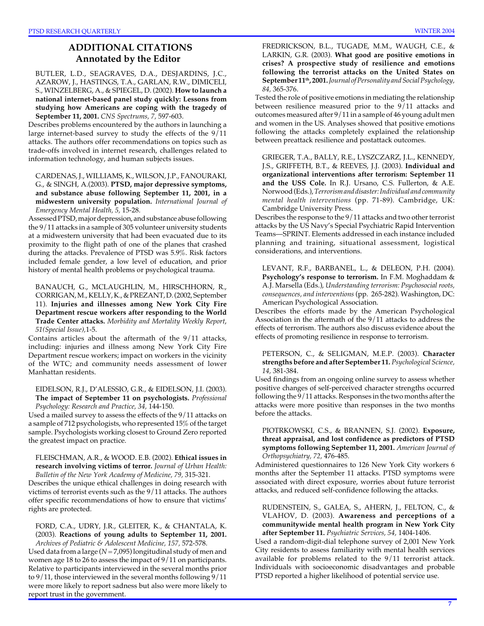# **ADDITIONAL CITATIONS Annotated by the Editor**

BUTLER, L.D., SEAGRAVES, D.A., DESJARDINS, J.C., AZAROW, J., HASTINGS, T.A., GARLAN, R.W., DIMICELI, S., WINZELBERG, A., & SPIEGEL, D. (2002). **How to launch a national internet-based panel study quickly: Lessons from studying how Americans are coping with the tragedy of September 11, 2001.** *CNS Spectrums, 7,* 597-603.

Describes problems encountered by the authors in launching a large internet-based survey to study the effects of the 9/11 attacks. The authors offer recommendations on topics such as trade-offs involved in internet research, challenges related to information technology, and human subjects issues.

CARDENAS, J., WILLIAMS, K., WILSON, J.P., FANOURAKI, G., & SINGH, A.(2003). **PTSD, major depressive symptoms, and substance abuse following September 11, 2001, in a midwestern university population.** *International Journal of Emergency Mental Health, 5,* 15-28.

Assessed PTSD, major depression, and substance abuse following the 9/11 attacks in a sample of 305 volunteer university students at a midwestern university that had been evacuated due to its proximity to the flight path of one of the planes that crashed during the attacks. Prevalence of PTSD was 5.9%. Risk factors included female gender, a low level of education, and prior history of mental health problems or psychological trauma.

BANAUCH, G., MCLAUGHLIN, M., HIRSCHHORN, R., CORRIGAN, M., KELLY, K., & PREZANT, D. (2002, September 11). **Injuries and illnesses among New York City Fire Department rescue workers after responding to the World Trade Center attacks.** *Morbidity and Mortality Weekly Report*, *51(Special Issue),*1-5.

Contains articles about the aftermath of the 9/11 attacks, including: injuries and illness among New York City Fire Department rescue workers; impact on workers in the vicinity of the WTC; and community needs assessment of lower Manhattan residents.

EIDELSON, R.J., D'ALESSIO, G.R., & EIDELSON, J.I. (2003). **The impact of September 11 on psychologists.** *Professional Psychology: Research and Practice, 34,* 144-150.

Used a mailed survey to assess the effects of the 9/11 attacks on a sample of 712 psychologists, who represented 15% of the target sample. Psychologists working closest to Ground Zero reported the greatest impact on practice.

FLEISCHMAN, A.R., & WOOD. E.B. (2002). **Ethical issues in research involving victims of terror.** *Journal of Urban Health: Bulletin of the New York Academy of Medicine, 79,* 315-321.

Describes the unique ethical challenges in doing research with victims of terrorist events such as the 9/11 attacks. The authors offer specific recommendations of how to ensure that victims' rights are protected.

FORD, C.A., UDRY, J.R., GLEITER, K., & CHANTALA, K. (2003). **Reactions of young adults to September 11, 2001.**  *Archives of Pediatric & Adolescent Medicine, 157,* 572-578.

Used data from a large (*N* = 7,095) longitudinal study of men and women age 18 to 26 to assess the impact of 9/11 on participants. Relative to participants interviewed in the several months prior to 9/11, those interviewed in the several months following 9/11 were more likely to report sadness but also were more likely to report trust in the government.

FREDRICKSON, B.L., TUGADE, M.M., WAUGH, C.E., & LARKIN, G.R. (2003). **What good are positive emotions in crises? A prospective study of resilience and emotions following the terrorist attacks on the United States on September 11th, 2001.** *Journal of Personality and Social Psychology, 84,* 365-376.

Tested the role of positive emotions in mediating the relationship between resilience measured prior to the 9/11 attacks and outcomes measured after 9/11 in a sample of 46 young adult men and women in the US. Analyses showed that positive emotions following the attacks completely explained the relationship between preattack resilience and postattack outcomes.

GRIEGER, T.A., BALLY, R.E., LYSZCZARZ, J.L., KENNEDY, J.S., GRIFFETH, B.T., & REEVES, J.J. (2003). **Individual and organizational interventions after terrorism: September 11 and the USS Cole.** In R.J. Ursano, C.S. Fullerton, & A.E. Norwood (Eds.),*Terrorism and disaster: Individual and community mental health interventions* (pp. 71-89). Cambridge, UK: Cambridge University Press.

Describes the response to the 9/11 attacks and two other terrorist attacks by the US Navy's Special Psychiatric Rapid Intervention Teams—SPRINT. Elements addressed in each instance included planning and training, situational assessment, logistical considerations, and interventions.

LEVANT, R.F., BARBANEL, L., & DELEON, P.H. (2004). **Psychology's response to terrorism.** In F.M. Moghaddam & A.J. Marsella (Eds.), *Understanding terrorism: Psychosocial roots, consequences, and interventions* (pp. 265-282). Washington, DC: American Psychological Association.

Describes the efforts made by the American Psychological Association in the aftermath of the 9/11 attacks to address the effects of terrorism. The authors also discuss evidence about the effects of promoting resilience in response to terrorism.

PETERSON, C., & SELIGMAN, M.E.P. (2003). **Character strengths before and after September 11.** *Psychological Science, 14,* 381-384.

Used findings from an ongoing online survey to assess whether positive changes of self-perceived character strengths occurred following the 9/11 attacks. Responses in the two months after the attacks were more positive than responses in the two months before the attacks.

PIOTRKOWSKI, C.S., & BRANNEN, S.J. (2002). **Exposure, threat appraisal, and lost confidence as predictors of PTSD symptoms following September 11, 2001.** *American Journal of Orthopsychiatry, 72,* 476-485.

Administered questionnaires to 126 New York City workers 6 months after the September 11 attacks. PTSD symptoms were associated with direct exposure, worries about future terrorist attacks, and reduced self-confidence following the attacks.

RUDENSTEIN, S., GALEA, S., AHERN, J., FELTON, C., & VLAHOV, D. (2003). **Awareness and perceptions of a communitywide mental health program in New York City after September 11.** *Psychiatric Services, 54,* 1404-1406.

Used a random-digit-dial telephone survey of 2,001 New York City residents to assess familiarity with mental health services available for problems related to the 9/11 terrorist attack. Individuals with socioeconomic disadvantages and probable PTSD reported a higher likelihood of potential service use.